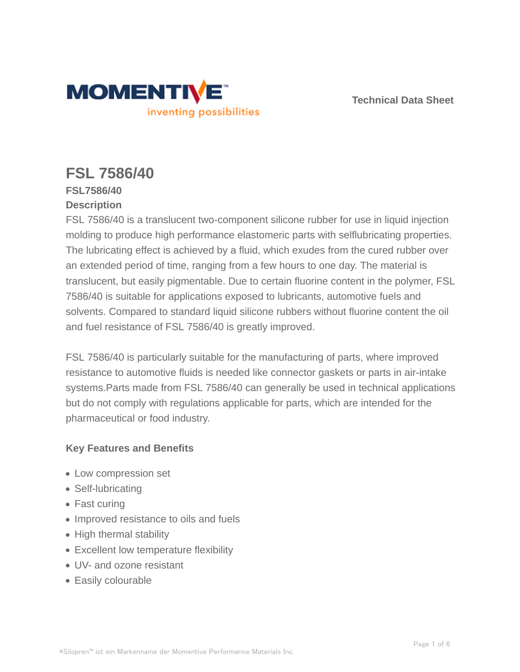

**Technical Data Sheet**

# **FSL 7586/40**

## **FSL7586/40 Description**

FSL 7586/40 is a translucent two-component silicone rubber for use in liquid injection molding to produce high performance elastomeric parts with selflubricating properties. The lubricating effect is achieved by a fluid, which exudes from the cured rubber over an extended period of time, ranging from a few hours to one day. The material is translucent, but easily pigmentable. Due to certain fluorine content in the polymer, FSL 7586/40 is suitable for applications exposed to lubricants, automotive fuels and solvents. Compared to standard liquid silicone rubbers without fluorine content the oil and fuel resistance of FSL 7586/40 is greatly improved.

FSL 7586/40 is particularly suitable for the manufacturing of parts, where improved resistance to automotive fluids is needed like connector gaskets or parts in air-intake systems.Parts made from FSL 7586/40 can generally be used in technical applications but do not comply with regulations applicable for parts, which are intended for the pharmaceutical or food industry.

# **Key Features and Benefits**

- Low compression set
- Self-lubricating
- Fast curing
- Improved resistance to oils and fuels
- High thermal stability
- Excellent low temperature flexibility
- UV- and ozone resistant
- Easily colourable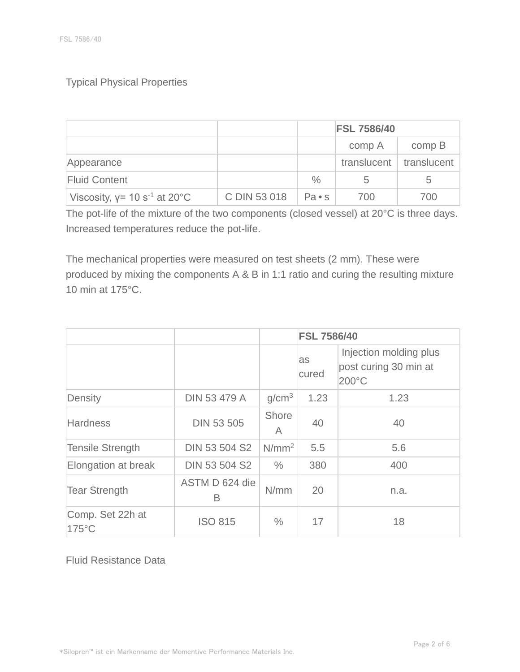## Typical Physical Properties

|                                    |              |                | <b>FSL 7586/40</b>        |                   |
|------------------------------------|--------------|----------------|---------------------------|-------------------|
|                                    |              |                | comp A                    | comp <sub>B</sub> |
| Appearance                         |              |                | translucent   translucent |                   |
| <b>Fluid Content</b>               |              | $\%$           | 5                         | 5                 |
| Viscosity, $y = 10 s^{-1}$ at 20°C | C DIN 53 018 | $Pa \bullet s$ | 700                       | 700               |

The pot-life of the mixture of the two components (closed vessel) at 20°C is three days. Increased temperatures reduce the pot-life.

The mechanical properties were measured on test sheets (2 mm). These were produced by mixing the components A & B in 1:1 ratio and curing the resulting mixture 10 min at 175°C.

|                           |                      |                   | <b>FSL 7586/40</b> |                                                          |
|---------------------------|----------------------|-------------------|--------------------|----------------------------------------------------------|
|                           |                      |                   | as<br>cured        | Injection molding plus<br>post curing 30 min at<br>200°C |
| Density                   | <b>DIN 53 479 A</b>  | g/cm <sup>3</sup> | 1.23               | 1.23                                                     |
| <b>Hardness</b>           | <b>DIN 53 505</b>    | Shore<br>A        | 40                 | 40                                                       |
| <b>Tensile Strength</b>   | <b>DIN 53 504 S2</b> | N/mm <sup>2</sup> | 5.5                | 5.6                                                      |
| Elongation at break       | DIN 53 504 S2        | $\frac{0}{0}$     | 380                | 400                                                      |
| <b>Tear Strength</b>      | ASTM D 624 die<br>B  | N/mm              | 20                 | n.a.                                                     |
| Comp. Set 22h at<br>175°C | <b>ISO 815</b>       | $\frac{0}{0}$     | 17                 | 18                                                       |

Fluid Resistance Data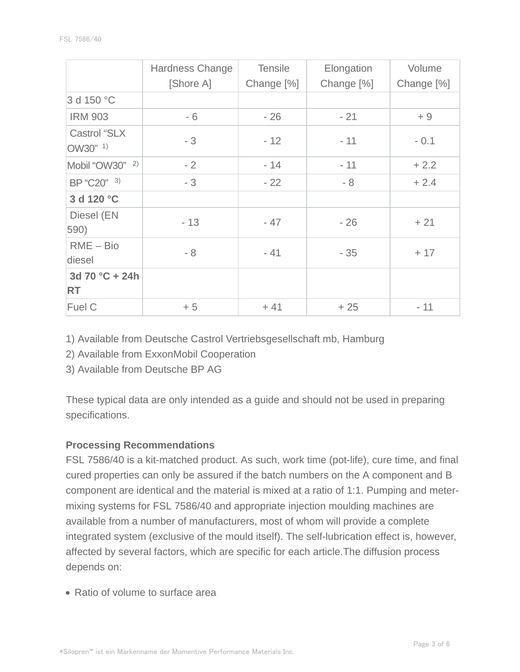|                                 | Hardness Change<br>[Shore A] | <b>Tensile</b><br>Change [%] | Elongation<br>Change [%] | Volume<br>Change [%] |
|---------------------------------|------------------------------|------------------------------|--------------------------|----------------------|
| 3 d 150 °C                      |                              |                              |                          |                      |
| <b>IRM 903</b>                  | - 6                          | $-26$                        | $-21$                    | $+9$                 |
| <b>Castrol "SLX</b><br>OW30" 1) | $-3$                         | $-12$                        | $-11$                    | $-0.1$               |
| Mobil "OW30" <sup>2)</sup>      | $-2$                         | $-14$                        | $-11$                    | $+2.2$               |
| BP "C20" 3)                     | $-3$                         | $-22$                        | $-8$                     | $+2.4$               |
| 3 d 120 °C                      |                              |                              |                          |                      |
| Diesel (EN<br>590)              | $-13$                        | $-47$                        | $-26$                    | $+21$                |
| $RME - Bio$<br>diesel           | $-8$                         | $-41$                        | $-35$                    | $+17$                |
| 3d 70 °C + 24h<br><b>RT</b>     |                              |                              |                          |                      |
| Fuel C                          | $+5$                         | $+41$                        | $+25$                    | $-11$                |

1) Available from Deutsche Castrol Vertriebsgesellschaft mb, Hamburg

2) Available from ExxonMobil Cooperation

3) Available from Deutsche BP AG

These typical data are only intended as a guide and should not be used in preparing specifications.

### **Processing Recommendations**

FSL 7586/40 is a kit-matched product. As such, work time (pot-life), cure time, and final cured properties can only be assured if the batch numbers on the A component and B component are identical and the material is mixed at a ratio of 1:1. Pumping and metermixing systems for FSL 7586/40 and appropriate injection moulding machines are available from a number of manufacturers, most of whom will provide a complete integrated system (exclusive of the mould itself). The self-lubrication effect is, however, affected by several factors, which are specific for each article.The diffusion process depends on:

Ratio of volume to surface area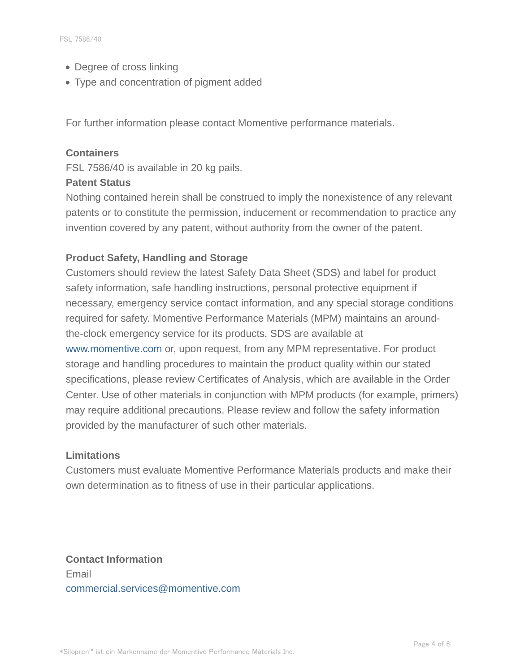- Degree of cross linking
- Type and concentration of pigment added

For further information please contact Momentive performance materials.

#### **Containers**

FSL 7586/40 is available in 20 kg pails.

#### **Patent Status**

Nothing contained herein shall be construed to imply the nonexistence of any relevant patents or to constitute the permission, inducement or recommendation to practice any invention covered by any patent, without authority from the owner of the patent.

## **Product Safety, Handling and Storage**

Customers should review the latest Safety Data Sheet (SDS) and label for product safety information, safe handling instructions, personal protective equipment if necessary, emergency service contact information, and any special storage conditions required for safety. Momentive Performance Materials (MPM) maintains an aroundthe-clock emergency service for its products. SDS are available at www.momentive.com or, upon request, from any MPM representative. For product storage and handling procedures to maintain the product quality within our stated specifications, please review Certificates of Analysis, which are available in the Order Center. Use of other materials in conjunction with MPM products (for example, primers) may require additional precautions. Please review and follow the safety information provided by the manufacturer of such other materials.

#### **Limitations**

Customers must evaluate Momentive Performance Materials products and make their own determination as to fitness of use in their particular applications.

**Contact Information** Email commercial.services@momentive.com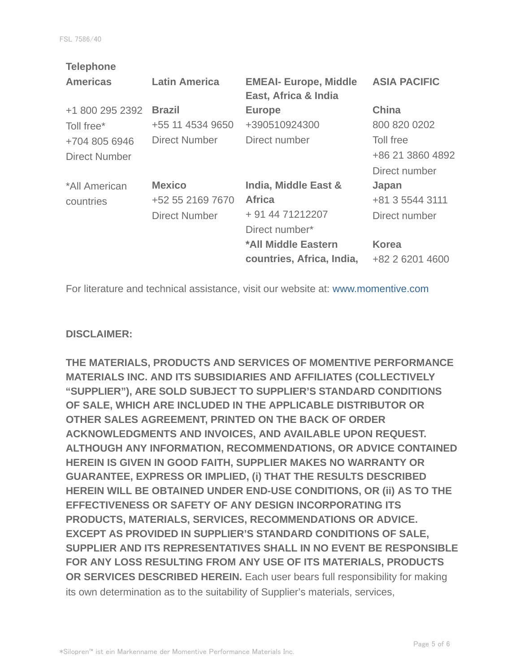| <b>Telephone</b>     |                      |                              |                     |
|----------------------|----------------------|------------------------------|---------------------|
| <b>Americas</b>      | <b>Latin America</b> | <b>EMEAI- Europe, Middle</b> | <b>ASIA PACIFIC</b> |
|                      |                      | East, Africa & India         |                     |
| +1 800 295 2392      | <b>Brazil</b>        | <b>Europe</b>                | <b>China</b>        |
| Toll free*           | +55 11 4534 9650     | +390510924300                | 800 820 0202        |
| +704 805 6946        | <b>Direct Number</b> | Direct number                | Toll free           |
| <b>Direct Number</b> |                      |                              | +86 21 3860 4892    |
|                      |                      |                              | Direct number       |
| *All American        | <b>Mexico</b>        | India, Middle East &         | Japan               |
| countries            | +52 55 2169 7670     | <b>Africa</b>                | +81 3 5544 3111     |
|                      | <b>Direct Number</b> | + 91 44 71212207             | Direct number       |
|                      |                      | Direct number*               |                     |
|                      |                      | *All Middle Eastern          | <b>Korea</b>        |
|                      |                      | countries, Africa, India,    | +82 2 6201 4600     |
|                      |                      |                              |                     |

For literature and technical assistance, visit our website at: www.momentive.com

#### **DISCLAIMER:**

**THE MATERIALS, PRODUCTS AND SERVICES OF MOMENTIVE PERFORMANCE MATERIALS INC. AND ITS SUBSIDIARIES AND AFFILIATES (COLLECTIVELY "SUPPLIER"), ARE SOLD SUBJECT TO SUPPLIER'S STANDARD CONDITIONS OF SALE, WHICH ARE INCLUDED IN THE APPLICABLE DISTRIBUTOR OR OTHER SALES AGREEMENT, PRINTED ON THE BACK OF ORDER ACKNOWLEDGMENTS AND INVOICES, AND AVAILABLE UPON REQUEST. ALTHOUGH ANY INFORMATION, RECOMMENDATIONS, OR ADVICE CONTAINED HEREIN IS GIVEN IN GOOD FAITH, SUPPLIER MAKES NO WARRANTY OR GUARANTEE, EXPRESS OR IMPLIED, (i) THAT THE RESULTS DESCRIBED HEREIN WILL BE OBTAINED UNDER END-USE CONDITIONS, OR (ii) AS TO THE EFFECTIVENESS OR SAFETY OF ANY DESIGN INCORPORATING ITS PRODUCTS, MATERIALS, SERVICES, RECOMMENDATIONS OR ADVICE. EXCEPT AS PROVIDED IN SUPPLIER'S STANDARD CONDITIONS OF SALE, SUPPLIER AND ITS REPRESENTATIVES SHALL IN NO EVENT BE RESPONSIBLE FOR ANY LOSS RESULTING FROM ANY USE OF ITS MATERIALS, PRODUCTS OR SERVICES DESCRIBED HEREIN.** Each user bears full responsibility for making its own determination as to the suitability of Supplier's materials, services,